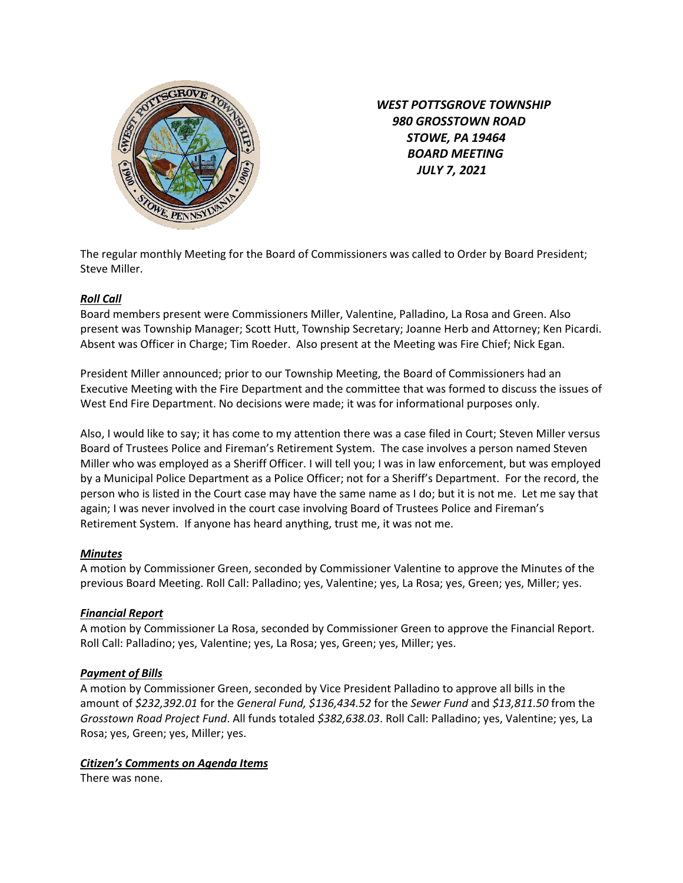

 *WEST POTTSGROVE TOWNSHIP 980 GROSSTOWN ROAD STOWE, PA 19464 BOARD MEETING JULY 7, 2021* 

The regular monthly Meeting for the Board of Commissioners was called to Order by Board President; Steve Miller.

# *Roll Call*

Board members present were Commissioners Miller, Valentine, Palladino, La Rosa and Green. Also present was Township Manager; Scott Hutt, Township Secretary; Joanne Herb and Attorney; Ken Picardi. Absent was Officer in Charge; Tim Roeder. Also present at the Meeting was Fire Chief; Nick Egan.

President Miller announced; prior to our Township Meeting, the Board of Commissioners had an Executive Meeting with the Fire Department and the committee that was formed to discuss the issues of West End Fire Department. No decisions were made; it was for informational purposes only.

Also, I would like to say; it has come to my attention there was a case filed in Court; Steven Miller versus Board of Trustees Police and Fireman's Retirement System. The case involves a person named Steven Miller who was employed as a Sheriff Officer. I will tell you; I was in law enforcement, but was employed by a Municipal Police Department as a Police Officer; not for a Sheriff's Department. For the record, the person who is listed in the Court case may have the same name as I do; but it is not me. Let me say that again; I was never involved in the court case involving Board of Trustees Police and Fireman's Retirement System. If anyone has heard anything, trust me, it was not me.

## *Minutes*

A motion by Commissioner Green, seconded by Commissioner Valentine to approve the Minutes of the previous Board Meeting. Roll Call: Palladino; yes, Valentine; yes, La Rosa; yes, Green; yes, Miller; yes.

## *Financial Report*

A motion by Commissioner La Rosa, seconded by Commissioner Green to approve the Financial Report. Roll Call: Palladino; yes, Valentine; yes, La Rosa; yes, Green; yes, Miller; yes.

## *Payment of Bills*

A motion by Commissioner Green, seconded by Vice President Palladino to approve all bills in the amount of *\$232,392.01* for the *General Fund, \$136,434.52* for the *Sewer Fund* and *\$13,811.50* from the *Grosstown Road Project Fund*. All funds totaled *\$382,638.03*. Roll Call: Palladino; yes, Valentine; yes, La Rosa; yes, Green; yes, Miller; yes.

## *Citizen's Comments on Agenda Items*

There was none.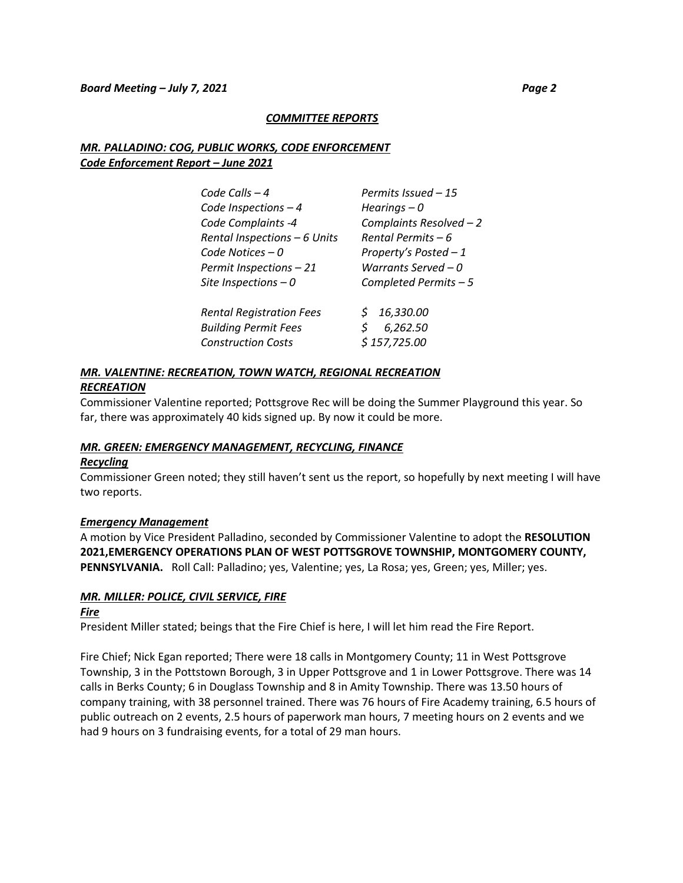#### *COMMITTEE REPORTS*

# *MR. PALLADINO: COG, PUBLIC WORKS, CODE ENFORCEMENT Code Enforcement Report – June 2021*

| Code Calls $-4$                                                                             | Permits Issued - 15                          |
|---------------------------------------------------------------------------------------------|----------------------------------------------|
| Code Inspections $-4$                                                                       | Hearings $-0$                                |
| Code Complaints -4                                                                          | Complaints Resolved - 2                      |
| Rental Inspections - 6 Units                                                                | Rental Permits – 6                           |
| Code Notices $-0$                                                                           | Property's Posted - 1                        |
| Permit Inspections - 21                                                                     | Warrants Served – 0                          |
| Site Inspections $-0$                                                                       | Completed Permits $-5$                       |
| <b>Rental Registration Fees</b><br><b>Building Permit Fees</b><br><b>Construction Costs</b> | \$16,330.00<br>6,262.50<br>S<br>\$157,725.00 |

# *MR. VALENTINE: RECREATION, TOWN WATCH, REGIONAL RECREATION RECREATION*

Commissioner Valentine reported; Pottsgrove Rec will be doing the Summer Playground this year. So far, there was approximately 40 kids signed up. By now it could be more.

## *MR. GREEN: EMERGENCY MANAGEMENT, RECYCLING, FINANCE*

#### *Recycling*

Commissioner Green noted; they still haven't sent us the report, so hopefully by next meeting I will have two reports.

## *Emergency Management*

A motion by Vice President Palladino, seconded by Commissioner Valentine to adopt the **RESOLUTION 2021,EMERGENCY OPERATIONS PLAN OF WEST POTTSGROVE TOWNSHIP, MONTGOMERY COUNTY, PENNSYLVANIA.** Roll Call: Palladino; yes, Valentine; yes, La Rosa; yes, Green; yes, Miller; yes.

## *MR. MILLER: POLICE, CIVIL SERVICE, FIRE*

#### *Fire*

President Miller stated; beings that the Fire Chief is here, I will let him read the Fire Report.

Fire Chief; Nick Egan reported; There were 18 calls in Montgomery County; 11 in West Pottsgrove Township, 3 in the Pottstown Borough, 3 in Upper Pottsgrove and 1 in Lower Pottsgrove. There was 14 calls in Berks County; 6 in Douglass Township and 8 in Amity Township. There was 13.50 hours of company training, with 38 personnel trained. There was 76 hours of Fire Academy training, 6.5 hours of public outreach on 2 events, 2.5 hours of paperwork man hours, 7 meeting hours on 2 events and we had 9 hours on 3 fundraising events, for a total of 29 man hours.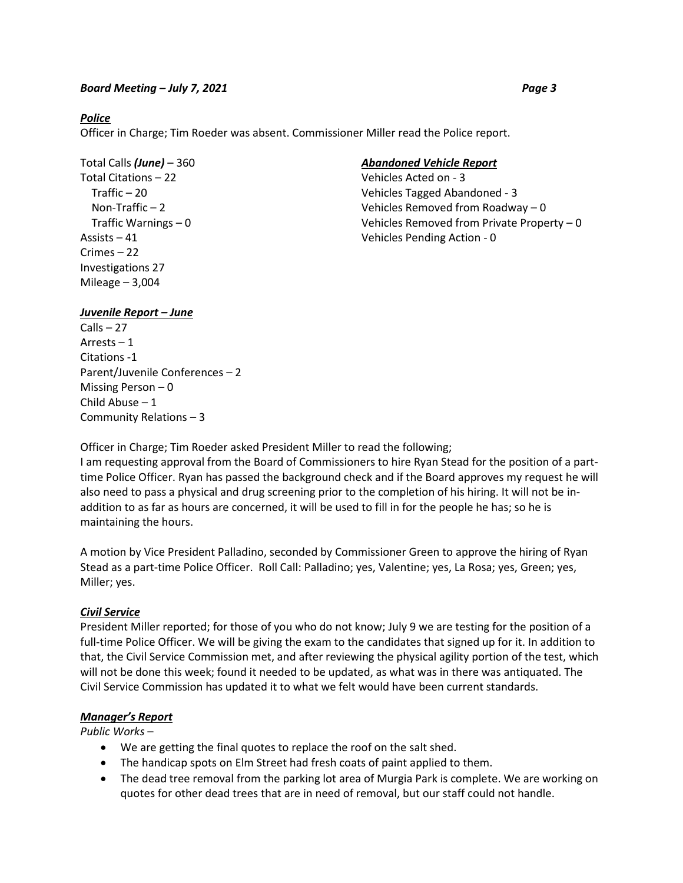#### *Police*

Officer in Charge; Tim Roeder was absent. Commissioner Miller read the Police report.

Total Citations – 22 Vehicles Acted on - 3 Crimes – 22 Investigations 27 Mileage – 3,004

## Total Calls *(June)* – 360 *Abandoned Vehicle Report*

 Traffic – 20 Vehicles Tagged Abandoned - 3 Non-Traffic – 2 Vehicles Removed from Roadway – 0 Traffic Warnings – 0 Vehicles Removed from Private Property – 0 Assists – 41 Vehicles Pending Action - 0

## *Juvenile Report – June*

Calls – 27 Arrests – 1 Citations -1 Parent/Juvenile Conferences – 2 Missing Person – 0 Child Abuse – 1 Community Relations – 3

Officer in Charge; Tim Roeder asked President Miller to read the following;

I am requesting approval from the Board of Commissioners to hire Ryan Stead for the position of a parttime Police Officer. Ryan has passed the background check and if the Board approves my request he will also need to pass a physical and drug screening prior to the completion of his hiring. It will not be inaddition to as far as hours are concerned, it will be used to fill in for the people he has; so he is maintaining the hours.

A motion by Vice President Palladino, seconded by Commissioner Green to approve the hiring of Ryan Stead as a part-time Police Officer. Roll Call: Palladino; yes, Valentine; yes, La Rosa; yes, Green; yes, Miller; yes.

## *Civil Service*

President Miller reported; for those of you who do not know; July 9 we are testing for the position of a full-time Police Officer. We will be giving the exam to the candidates that signed up for it. In addition to that, the Civil Service Commission met, and after reviewing the physical agility portion of the test, which will not be done this week; found it needed to be updated, as what was in there was antiquated. The Civil Service Commission has updated it to what we felt would have been current standards.

#### *Manager's Report*

*Public Works* –

- We are getting the final quotes to replace the roof on the salt shed.
- The handicap spots on Elm Street had fresh coats of paint applied to them.
- The dead tree removal from the parking lot area of Murgia Park is complete. We are working on quotes for other dead trees that are in need of removal, but our staff could not handle.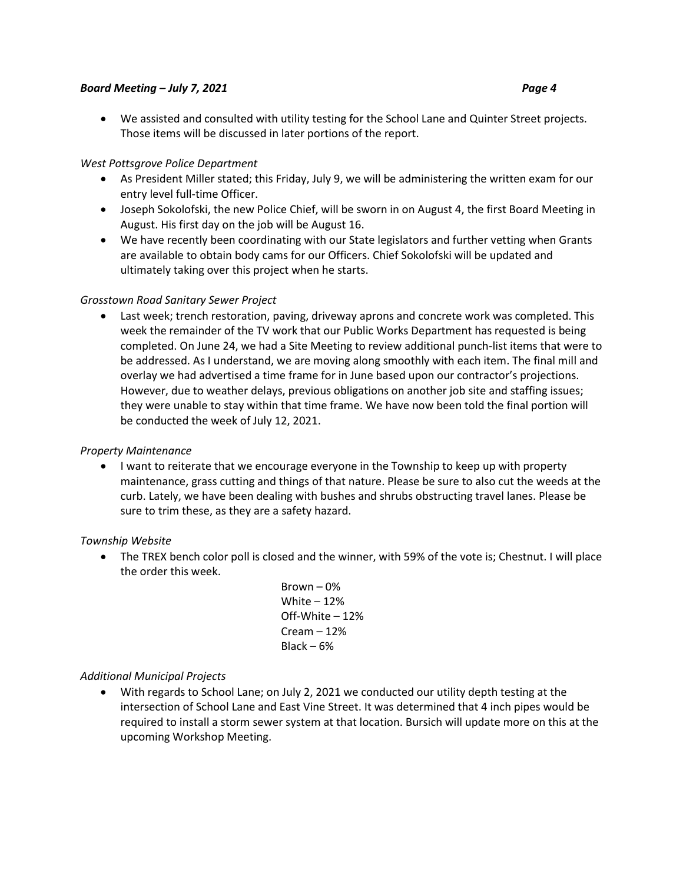We assisted and consulted with utility testing for the School Lane and Quinter Street projects. Those items will be discussed in later portions of the report.

## *West Pottsgrove Police Department*

- As President Miller stated; this Friday, July 9, we will be administering the written exam for our entry level full-time Officer.
- Joseph Sokolofski, the new Police Chief, will be sworn in on August 4, the first Board Meeting in August. His first day on the job will be August 16.
- We have recently been coordinating with our State legislators and further vetting when Grants are available to obtain body cams for our Officers. Chief Sokolofski will be updated and ultimately taking over this project when he starts.

## *Grosstown Road Sanitary Sewer Project*

 Last week; trench restoration, paving, driveway aprons and concrete work was completed. This week the remainder of the TV work that our Public Works Department has requested is being completed. On June 24, we had a Site Meeting to review additional punch-list items that were to be addressed. As I understand, we are moving along smoothly with each item. The final mill and overlay we had advertised a time frame for in June based upon our contractor's projections. However, due to weather delays, previous obligations on another job site and staffing issues; they were unable to stay within that time frame. We have now been told the final portion will be conducted the week of July 12, 2021.

## *Property Maintenance*

 I want to reiterate that we encourage everyone in the Township to keep up with property maintenance, grass cutting and things of that nature. Please be sure to also cut the weeds at the curb. Lately, we have been dealing with bushes and shrubs obstructing travel lanes. Please be sure to trim these, as they are a safety hazard.

*Township Website*

- The TREX bench color poll is closed and the winner, with 59% of the vote is; Chestnut. I will place the order this week.
	- Brown 0% White  $-12%$ Off-White – 12% Cream – 12% Black – 6%

## *Additional Municipal Projects*

 With regards to School Lane; on July 2, 2021 we conducted our utility depth testing at the intersection of School Lane and East Vine Street. It was determined that 4 inch pipes would be required to install a storm sewer system at that location. Bursich will update more on this at the upcoming Workshop Meeting.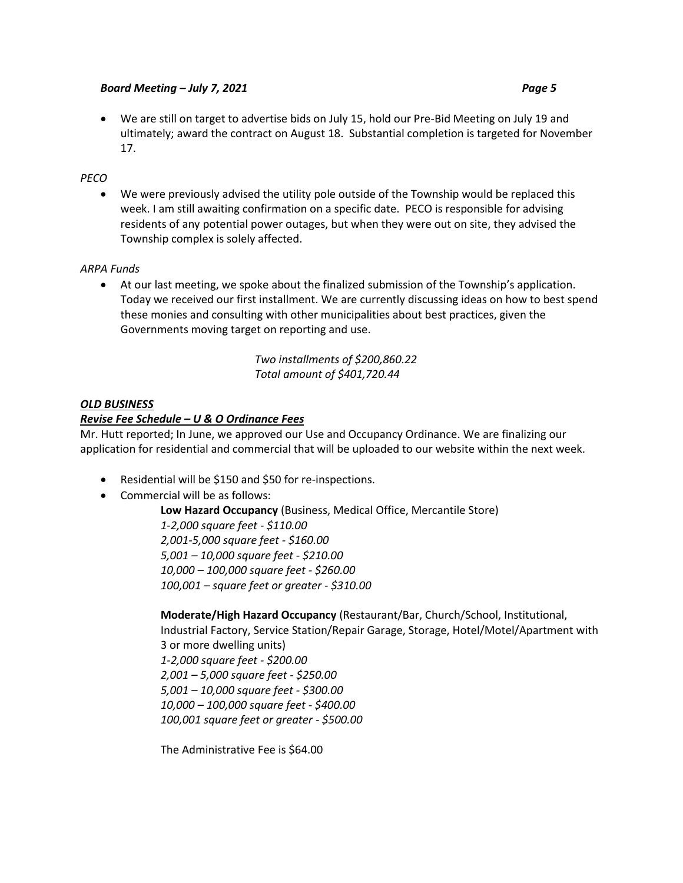We are still on target to advertise bids on July 15, hold our Pre-Bid Meeting on July 19 and ultimately; award the contract on August 18. Substantial completion is targeted for November 17.

## *PECO*

 We were previously advised the utility pole outside of the Township would be replaced this week. I am still awaiting confirmation on a specific date. PECO is responsible for advising residents of any potential power outages, but when they were out on site, they advised the Township complex is solely affected.

## *ARPA Funds*

 At our last meeting, we spoke about the finalized submission of the Township's application. Today we received our first installment. We are currently discussing ideas on how to best spend these monies and consulting with other municipalities about best practices, given the Governments moving target on reporting and use.

> *Two installments of \$200,860.22 Total amount of \$401,720.44*

## *OLD BUSINESS*

## *Revise Fee Schedule – U & O Ordinance Fees*

Mr. Hutt reported; In June, we approved our Use and Occupancy Ordinance. We are finalizing our application for residential and commercial that will be uploaded to our website within the next week.

- Residential will be \$150 and \$50 for re-inspections.
- Commercial will be as follows:

**Low Hazard Occupancy** (Business, Medical Office, Mercantile Store) *1-2,000 square feet - \$110.00 2,001-5,000 square feet - \$160.00 5,001 – 10,000 square feet - \$210.00 10,000 – 100,000 square feet - \$260.00 100,001 – square feet or greater - \$310.00*

**Moderate/High Hazard Occupancy** (Restaurant/Bar, Church/School, Institutional, Industrial Factory, Service Station/Repair Garage, Storage, Hotel/Motel/Apartment with 3 or more dwelling units) *1-2,000 square feet - \$200.00 2,001 – 5,000 square feet - \$250.00 5,001 – 10,000 square feet - \$300.00 10,000 – 100,000 square feet - \$400.00 100,001 square feet or greater - \$500.00*

The Administrative Fee is \$64.00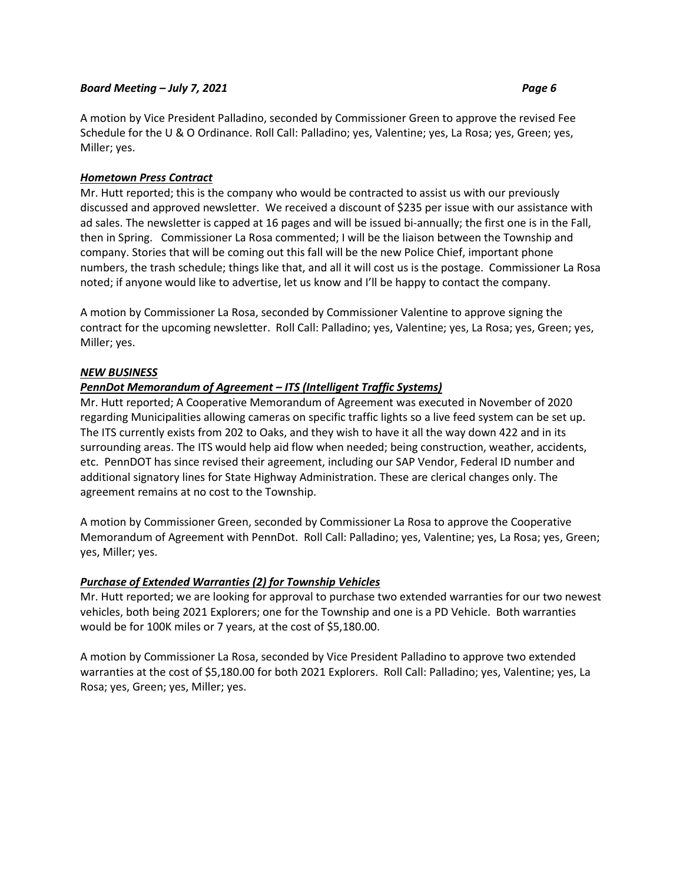# *Hometown Press Contract*

Mr. Hutt reported; this is the company who would be contracted to assist us with our previously discussed and approved newsletter. We received a discount of \$235 per issue with our assistance with ad sales. The newsletter is capped at 16 pages and will be issued bi-annually; the first one is in the Fall, then in Spring. Commissioner La Rosa commented; I will be the liaison between the Township and company. Stories that will be coming out this fall will be the new Police Chief, important phone numbers, the trash schedule; things like that, and all it will cost us is the postage. Commissioner La Rosa noted; if anyone would like to advertise, let us know and I'll be happy to contact the company.

A motion by Commissioner La Rosa, seconded by Commissioner Valentine to approve signing the contract for the upcoming newsletter. Roll Call: Palladino; yes, Valentine; yes, La Rosa; yes, Green; yes, Miller; yes.

## *NEW BUSINESS*

# *PennDot Memorandum of Agreement – ITS (Intelligent Traffic Systems)*

Mr. Hutt reported; A Cooperative Memorandum of Agreement was executed in November of 2020 regarding Municipalities allowing cameras on specific traffic lights so a live feed system can be set up. The ITS currently exists from 202 to Oaks, and they wish to have it all the way down 422 and in its surrounding areas. The ITS would help aid flow when needed; being construction, weather, accidents, etc. PennDOT has since revised their agreement, including our SAP Vendor, Federal ID number and additional signatory lines for State Highway Administration. These are clerical changes only. The agreement remains at no cost to the Township.

A motion by Commissioner Green, seconded by Commissioner La Rosa to approve the Cooperative Memorandum of Agreement with PennDot. Roll Call: Palladino; yes, Valentine; yes, La Rosa; yes, Green; yes, Miller; yes.

# *Purchase of Extended Warranties (2) for Township Vehicles*

Mr. Hutt reported; we are looking for approval to purchase two extended warranties for our two newest vehicles, both being 2021 Explorers; one for the Township and one is a PD Vehicle. Both warranties would be for 100K miles or 7 years, at the cost of \$5,180.00.

A motion by Commissioner La Rosa, seconded by Vice President Palladino to approve two extended warranties at the cost of \$5,180.00 for both 2021 Explorers. Roll Call: Palladino; yes, Valentine; yes, La Rosa; yes, Green; yes, Miller; yes.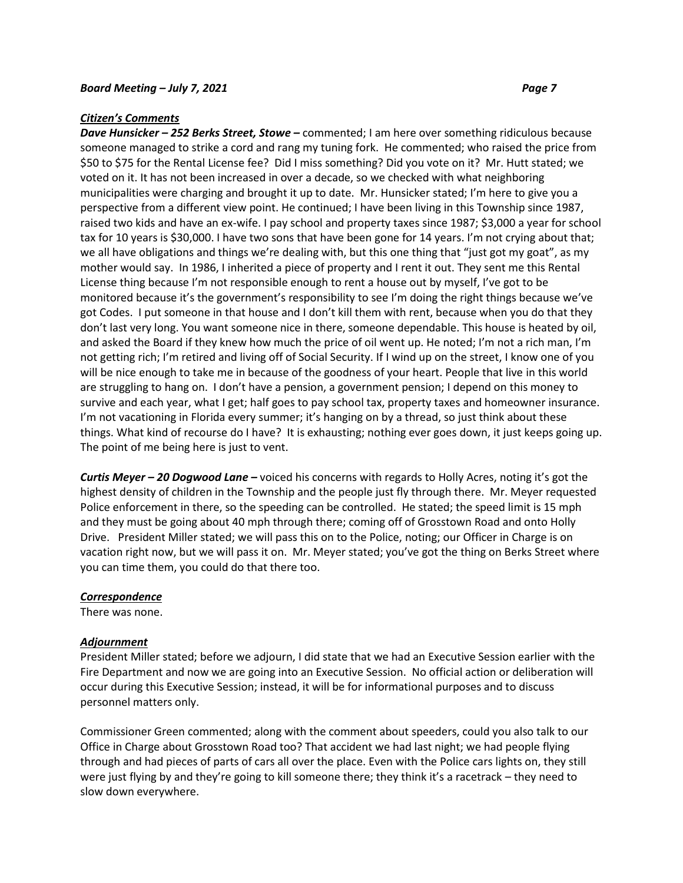#### *Citizen's Comments*

*Dave Hunsicker – 252 Berks Street, Stowe –* commented; I am here over something ridiculous because someone managed to strike a cord and rang my tuning fork. He commented; who raised the price from \$50 to \$75 for the Rental License fee? Did I miss something? Did you vote on it? Mr. Hutt stated; we voted on it. It has not been increased in over a decade, so we checked with what neighboring municipalities were charging and brought it up to date. Mr. Hunsicker stated; I'm here to give you a perspective from a different view point. He continued; I have been living in this Township since 1987, raised two kids and have an ex-wife. I pay school and property taxes since 1987; \$3,000 a year for school tax for 10 years is \$30,000. I have two sons that have been gone for 14 years. I'm not crying about that; we all have obligations and things we're dealing with, but this one thing that "just got my goat", as my mother would say. In 1986, I inherited a piece of property and I rent it out. They sent me this Rental License thing because I'm not responsible enough to rent a house out by myself, I've got to be monitored because it's the government's responsibility to see I'm doing the right things because we've got Codes. I put someone in that house and I don't kill them with rent, because when you do that they don't last very long. You want someone nice in there, someone dependable. This house is heated by oil, and asked the Board if they knew how much the price of oil went up. He noted; I'm not a rich man, I'm not getting rich; I'm retired and living off of Social Security. If I wind up on the street, I know one of you will be nice enough to take me in because of the goodness of your heart. People that live in this world are struggling to hang on. I don't have a pension, a government pension; I depend on this money to survive and each year, what I get; half goes to pay school tax, property taxes and homeowner insurance. I'm not vacationing in Florida every summer; it's hanging on by a thread, so just think about these things. What kind of recourse do I have? It is exhausting; nothing ever goes down, it just keeps going up. The point of me being here is just to vent.

*Curtis Meyer – 20 Dogwood Lane –* voiced his concerns with regards to Holly Acres, noting it's got the highest density of children in the Township and the people just fly through there. Mr. Meyer requested Police enforcement in there, so the speeding can be controlled. He stated; the speed limit is 15 mph and they must be going about 40 mph through there; coming off of Grosstown Road and onto Holly Drive. President Miller stated; we will pass this on to the Police, noting; our Officer in Charge is on vacation right now, but we will pass it on. Mr. Meyer stated; you've got the thing on Berks Street where you can time them, you could do that there too.

#### *Correspondence*

There was none.

#### *Adjournment*

President Miller stated; before we adjourn, I did state that we had an Executive Session earlier with the Fire Department and now we are going into an Executive Session. No official action or deliberation will occur during this Executive Session; instead, it will be for informational purposes and to discuss personnel matters only.

Commissioner Green commented; along with the comment about speeders, could you also talk to our Office in Charge about Grosstown Road too? That accident we had last night; we had people flying through and had pieces of parts of cars all over the place. Even with the Police cars lights on, they still were just flying by and they're going to kill someone there; they think it's a racetrack – they need to slow down everywhere.